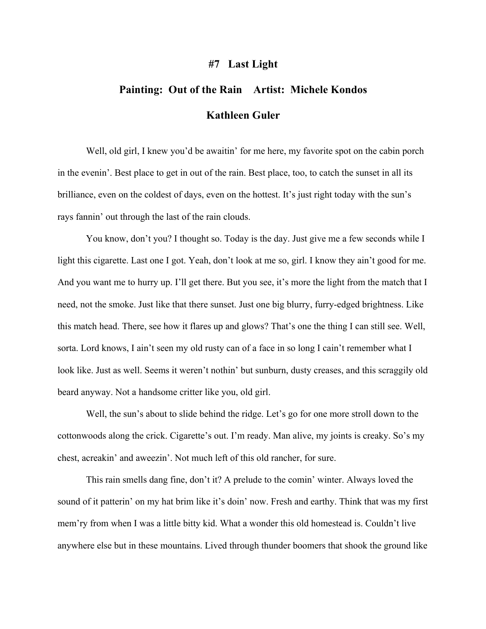## **#7 Last Light**

## **Painting: Out of the Rain Artist: Michele Kondos Kathleen Guler**

Well, old girl, I knew you'd be awaitin' for me here, my favorite spot on the cabin porch in the evenin'. Best place to get in out of the rain. Best place, too, to catch the sunset in all its brilliance, even on the coldest of days, even on the hottest. It's just right today with the sun's rays fannin' out through the last of the rain clouds.

You know, don't you? I thought so. Today is the day. Just give me a few seconds while I light this cigarette. Last one I got. Yeah, don't look at me so, girl. I know they ain't good for me. And you want me to hurry up. I'll get there. But you see, it's more the light from the match that I need, not the smoke. Just like that there sunset. Just one big blurry, furry-edged brightness. Like this match head. There, see how it flares up and glows? That's one the thing I can still see. Well, sorta. Lord knows, I ain't seen my old rusty can of a face in so long I cain't remember what I look like. Just as well. Seems it weren't nothin' but sunburn, dusty creases, and this scraggily old beard anyway. Not a handsome critter like you, old girl.

Well, the sun's about to slide behind the ridge. Let's go for one more stroll down to the cottonwoods along the crick. Cigarette's out. I'm ready. Man alive, my joints is creaky. So's my chest, acreakin' and aweezin'. Not much left of this old rancher, for sure.

This rain smells dang fine, don't it? A prelude to the comin' winter. Always loved the sound of it patterin' on my hat brim like it's doin' now. Fresh and earthy. Think that was my first mem'ry from when I was a little bitty kid. What a wonder this old homestead is. Couldn't live anywhere else but in these mountains. Lived through thunder boomers that shook the ground like